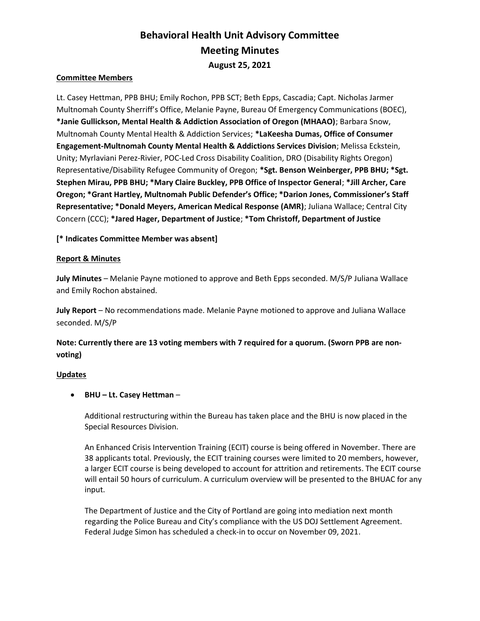# Behavioral Health Unit Advisory Committee Meeting Minutes August 25, 2021

#### Committee Members

Lt. Casey Hettman, PPB BHU; Emily Rochon, PPB SCT; Beth Epps, Cascadia; Capt. Nicholas Jarmer Multnomah County Sherriff's Office, Melanie Payne, Bureau Of Emergency Communications (BOEC), \*Janie Gullickson, Mental Health & Addiction Association of Oregon (MHAAO); Barbara Snow, Multnomah County Mental Health & Addiction Services; \*LaKeesha Dumas, Office of Consumer Engagement-Multnomah County Mental Health & Addictions Services Division; Melissa Eckstein, Unity; Myrlaviani Perez-Rivier, POC-Led Cross Disability Coalition, DRO (Disability Rights Oregon) Representative/Disability Refugee Community of Oregon; \*Sgt. Benson Weinberger, PPB BHU; \*Sgt. Stephen Mirau, PPB BHU; \*Mary Claire Buckley, PPB Office of Inspector General; \*Jill Archer, Care Oregon; \*Grant Hartley, Multnomah Public Defender's Office; \*Darion Jones, Commissioner's Staff Representative; \*Donald Meyers, American Medical Response (AMR); Juliana Wallace; Central City Concern (CCC); \*Jared Hager, Department of Justice; \*Tom Christoff, Department of Justice

#### [\* Indicates Committee Member was absent]

#### Report & Minutes

July Minutes – Melanie Payne motioned to approve and Beth Epps seconded. M/S/P Juliana Wallace and Emily Rochon abstained.

July Report – No recommendations made. Melanie Payne motioned to approve and Juliana Wallace seconded. M/S/P

## Note: Currently there are 13 voting members with 7 required for a quorum. (Sworn PPB are nonvoting)

#### **Updates**

#### BHU – Lt. Casey Hettman –

Additional restructuring within the Bureau has taken place and the BHU is now placed in the Special Resources Division.

An Enhanced Crisis Intervention Training (ECIT) course is being offered in November. There are 38 applicants total. Previously, the ECIT training courses were limited to 20 members, however, a larger ECIT course is being developed to account for attrition and retirements. The ECIT course will entail 50 hours of curriculum. A curriculum overview will be presented to the BHUAC for any input.

The Department of Justice and the City of Portland are going into mediation next month regarding the Police Bureau and City's compliance with the US DOJ Settlement Agreement. Federal Judge Simon has scheduled a check-in to occur on November 09, 2021.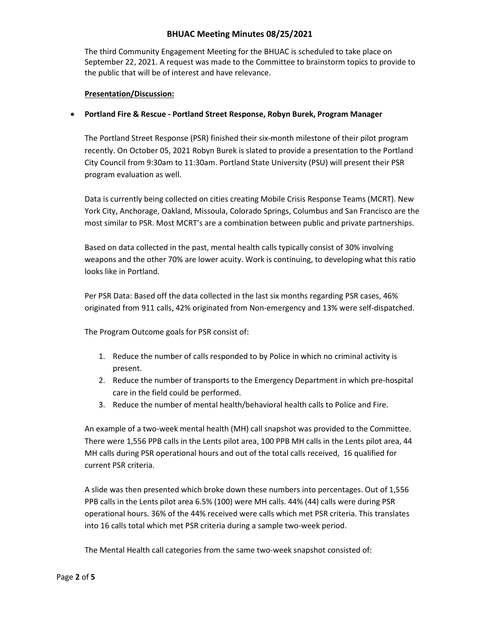## BHUAC Meeting Minutes 08/25/2021

The third Community Engagement Meeting for the BHUAC is scheduled to take place on September 22, 2021. A request was made to the Committee to brainstorm topics to provide to the public that will be of interest and have relevance.

#### Presentation/Discussion:

## Portland Fire & Rescue - Portland Street Response, Robyn Burek, Program Manager

The Portland Street Response (PSR) finished their six-month milestone of their pilot program recently. On October 05, 2021 Robyn Burek is slated to provide a presentation to the Portland City Council from 9:30am to 11:30am. Portland State University (PSU) will present their PSR program evaluation as well.

Data is currently being collected on cities creating Mobile Crisis Response Teams (MCRT). New York City, Anchorage, Oakland, Missoula, Colorado Springs, Columbus and San Francisco are the most similar to PSR. Most MCRT's are a combination between public and private partnerships.

Based on data collected in the past, mental health calls typically consist of 30% involving weapons and the other 70% are lower acuity. Work is continuing, to developing what this ratio looks like in Portland.

Per PSR Data: Based off the data collected in the last six months regarding PSR cases, 46% originated from 911 calls, 42% originated from Non-emergency and 13% were self-dispatched.

The Program Outcome goals for PSR consist of:

- 1. Reduce the number of calls responded to by Police in which no criminal activity is present.
- 2. Reduce the number of transports to the Emergency Department in which pre-hospital care in the field could be performed.
- 3. Reduce the number of mental health/behavioral health calls to Police and Fire.

An example of a two-week mental health (MH) call snapshot was provided to the Committee. There were 1,556 PPB calls in the Lents pilot area, 100 PPB MH calls in the Lents pilot area, 44 MH calls during PSR operational hours and out of the total calls received, 16 qualified for current PSR criteria.

A slide was then presented which broke down these numbers into percentages. Out of 1,556 PPB calls in the Lents pilot area 6.5% (100) were MH calls. 44% (44) calls were during PSR operational hours. 36% of the 44% received were calls which met PSR criteria. This translates into 16 calls total which met PSR criteria during a sample two-week period.

The Mental Health call categories from the same two-week snapshot consisted of: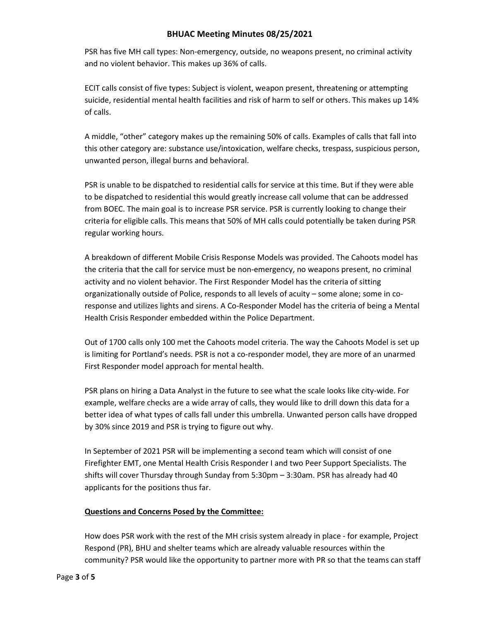## BHUAC Meeting Minutes 08/25/2021

PSR has five MH call types: Non-emergency, outside, no weapons present, no criminal activity and no violent behavior. This makes up 36% of calls.

ECIT calls consist of five types: Subject is violent, weapon present, threatening or attempting suicide, residential mental health facilities and risk of harm to self or others. This makes up 14% of calls.

A middle, "other" category makes up the remaining 50% of calls. Examples of calls that fall into this other category are: substance use/intoxication, welfare checks, trespass, suspicious person, unwanted person, illegal burns and behavioral.

PSR is unable to be dispatched to residential calls for service at this time. But if they were able to be dispatched to residential this would greatly increase call volume that can be addressed from BOEC. The main goal is to increase PSR service. PSR is currently looking to change their criteria for eligible calls. This means that 50% of MH calls could potentially be taken during PSR regular working hours.

A breakdown of different Mobile Crisis Response Models was provided. The Cahoots model has the criteria that the call for service must be non-emergency, no weapons present, no criminal activity and no violent behavior. The First Responder Model has the criteria of sitting organizationally outside of Police, responds to all levels of acuity – some alone; some in coresponse and utilizes lights and sirens. A Co-Responder Model has the criteria of being a Mental Health Crisis Responder embedded within the Police Department.

Out of 1700 calls only 100 met the Cahoots model criteria. The way the Cahoots Model is set up is limiting for Portland's needs. PSR is not a co-responder model, they are more of an unarmed First Responder model approach for mental health.

PSR plans on hiring a Data Analyst in the future to see what the scale looks like city-wide. For example, welfare checks are a wide array of calls, they would like to drill down this data for a better idea of what types of calls fall under this umbrella. Unwanted person calls have dropped by 30% since 2019 and PSR is trying to figure out why.

In September of 2021 PSR will be implementing a second team which will consist of one Firefighter EMT, one Mental Health Crisis Responder I and two Peer Support Specialists. The shifts will cover Thursday through Sunday from 5:30pm – 3:30am. PSR has already had 40 applicants for the positions thus far.

#### Questions and Concerns Posed by the Committee:

How does PSR work with the rest of the MH crisis system already in place - for example, Project Respond (PR), BHU and shelter teams which are already valuable resources within the community? PSR would like the opportunity to partner more with PR so that the teams can staff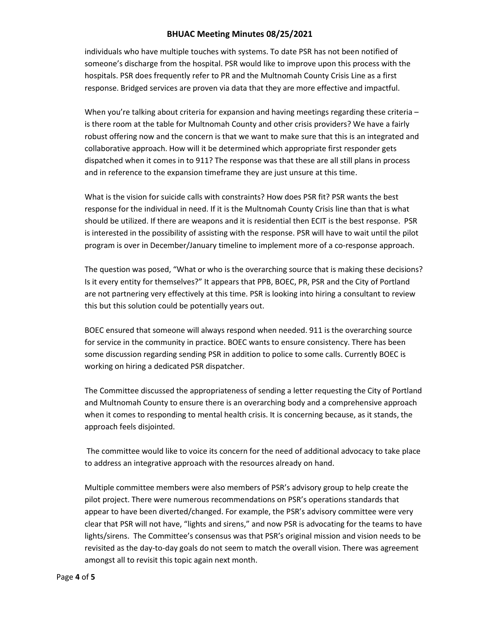## BHUAC Meeting Minutes 08/25/2021

individuals who have multiple touches with systems. To date PSR has not been notified of someone's discharge from the hospital. PSR would like to improve upon this process with the hospitals. PSR does frequently refer to PR and the Multnomah County Crisis Line as a first response. Bridged services are proven via data that they are more effective and impactful.

When you're talking about criteria for expansion and having meetings regarding these criteria is there room at the table for Multnomah County and other crisis providers? We have a fairly robust offering now and the concern is that we want to make sure that this is an integrated and collaborative approach. How will it be determined which appropriate first responder gets dispatched when it comes in to 911? The response was that these are all still plans in process and in reference to the expansion timeframe they are just unsure at this time.

What is the vision for suicide calls with constraints? How does PSR fit? PSR wants the best response for the individual in need. If it is the Multnomah County Crisis line than that is what should be utilized. If there are weapons and it is residential then ECIT is the best response. PSR is interested in the possibility of assisting with the response. PSR will have to wait until the pilot program is over in December/January timeline to implement more of a co-response approach.

The question was posed, "What or who is the overarching source that is making these decisions? Is it every entity for themselves?" It appears that PPB, BOEC, PR, PSR and the City of Portland are not partnering very effectively at this time. PSR is looking into hiring a consultant to review this but this solution could be potentially years out.

BOEC ensured that someone will always respond when needed. 911 is the overarching source for service in the community in practice. BOEC wants to ensure consistency. There has been some discussion regarding sending PSR in addition to police to some calls. Currently BOEC is working on hiring a dedicated PSR dispatcher.

The Committee discussed the appropriateness of sending a letter requesting the City of Portland and Multnomah County to ensure there is an overarching body and a comprehensive approach when it comes to responding to mental health crisis. It is concerning because, as it stands, the approach feels disjointed.

 The committee would like to voice its concern for the need of additional advocacy to take place to address an integrative approach with the resources already on hand.

Multiple committee members were also members of PSR's advisory group to help create the pilot project. There were numerous recommendations on PSR's operations standards that appear to have been diverted/changed. For example, the PSR's advisory committee were very clear that PSR will not have, "lights and sirens," and now PSR is advocating for the teams to have lights/sirens. The Committee's consensus was that PSR's original mission and vision needs to be revisited as the day-to-day goals do not seem to match the overall vision. There was agreement amongst all to revisit this topic again next month.